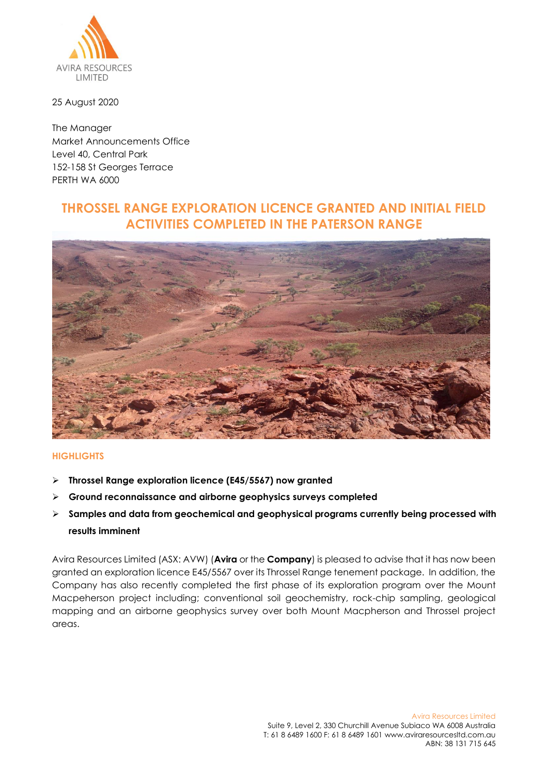

25 August 2020

The Manager Market Announcements Office Level 40, Central Park 152-158 St Georges Terrace PERTH WA 6000

## **THROSSEL RANGE EXPLORATION LICENCE GRANTED AND INITIAL FIELD ACTIVITIES COMPLETED IN THE PATERSON RANGE**



## **HIGHLIGHTS**

- ➢ **Throssel Range exploration licence (E45/5567) now granted**
- ➢ **Ground reconnaissance and airborne geophysics surveys completed**
- ➢ **Samples and data from geochemical and geophysical programs currently being processed with results imminent**

Avira Resources Limited (ASX: AVW) (**Avira** or the **Company**) is pleased to advise that it has now been granted an exploration licence E45/5567 over its Throssel Range tenement package. In addition, the Company has also recently completed the first phase of its exploration program over the Mount Macpeherson project including; conventional soil geochemistry, rock-chip sampling, geological mapping and an airborne geophysics survey over both Mount Macpherson and Throssel project areas.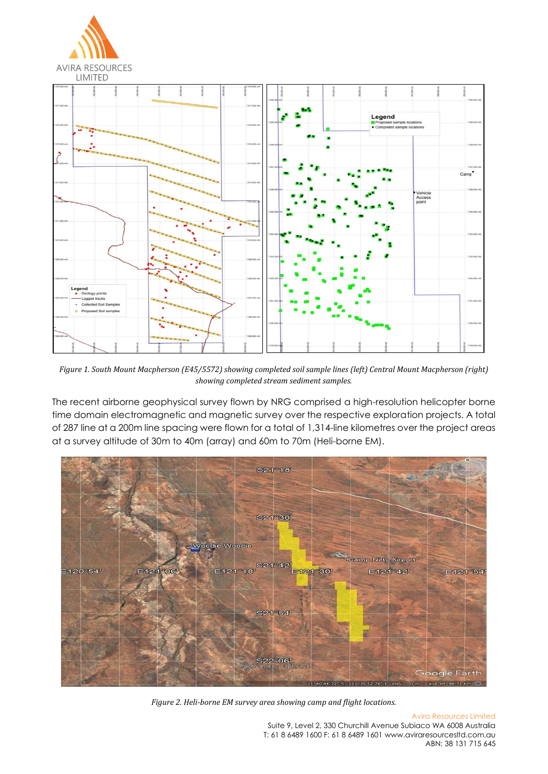

*Figure 1. South Mount Macpherson (E45/5572) showing completed soil sample lines (left) Central Mount Macpherson (right) showing completed stream sediment samples.*

The recent airborne geophysical survey flown by NRG comprised a high-resolution helicopter borne time domain electromagnetic and magnetic survey over the respective exploration projects. A total of 287 line at a 200m line spacing were flown for a total of 1,314-line kilometres over the project areas at a survey altitude of 30m to 40m (array) and 60m to 70m (Heli-borne EM).



*Figure 2. Heli-borne EM survey area showing camp and flight locations.*

Avira Resources Limited Suite 9, Level 2, 330 Churchill Avenue Subiaco WA 6008 Australia T: 61 8 6489 1600 F: 61 8 6489 1601 www.aviraresourcesltd.com.au ABN: 38 131 715 645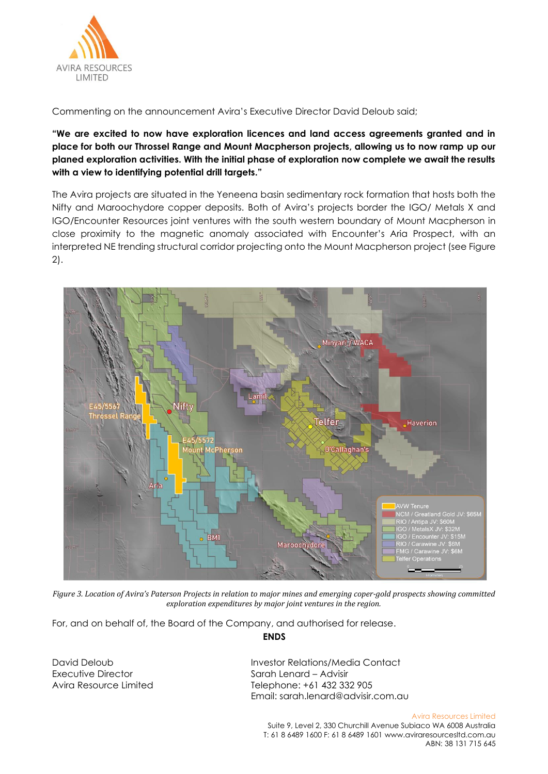

Commenting on the announcement Avira's Executive Director David Deloub said;

**"We are excited to now have exploration licences and land access agreements granted and in place for both our Throssel Range and Mount Macpherson projects, allowing us to now ramp up our planed exploration activities. With the initial phase of exploration now complete we await the results with a view to identifying potential drill targets."** 

The Avira projects are situated in the Yeneena basin sedimentary rock formation that hosts both the Nifty and Maroochydore copper deposits. Both of Avira's projects border the IGO/ Metals X and IGO/Encounter Resources joint ventures with the south western boundary of Mount Macpherson in close proximity to the magnetic anomaly associated with Encounter's Aria Prospect, with an interpreted NE trending structural corridor projecting onto the Mount Macpherson project (see Figure 2).



*Figure 3. Location of Avira's Paterson Projects in relation to major mines and emerging coper-gold prospects showing committed exploration expenditures by major joint ventures in the region.*

For, and on behalf of, the Board of the Company, and authorised for release.

**ENDS**

Executive Director Sarah Lenard – Advisir

David Deloub Investor Relations/Media Contact Avira Resource Limited Telephone: +61 432 332 905 Email: [sarah.lenard@advisir.com.au](mailto:sarah.lenard@advisir.com.au)